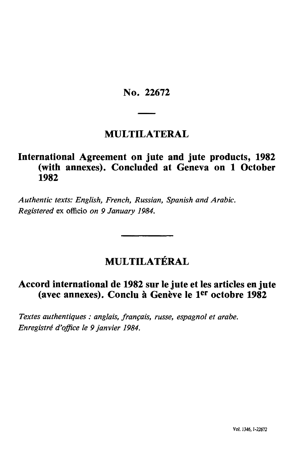No. 22672

### **MULTILATERAL**

### **International Agreement on jute and jute products, 1982 (with annexes). Concluded at Geneva on 1 October 1982**

*Authentic texts: English, French, Russian, Spanish and Arabic. Registered* ex officio *on 9 January 1984.*

# **MULTILATERAL**

### **Accord international de 1982 sur le jute et les articles en jute**  (avec annexes). Conclu à Genève le 1<sup>er</sup> octobre 1982

*Textes authentiques : anglais, français, russe, espagnol et arabe. Enregistré d'office le 9 janvier 1984.*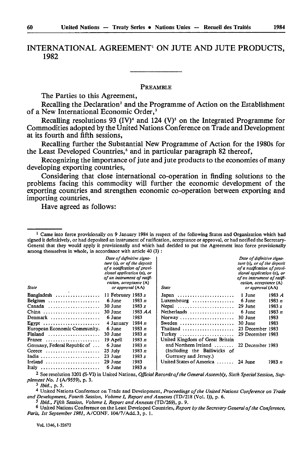#### INTERNATIONAL AGREEMENT<sup>1</sup> ON JUTE AND JUTE PRODUCTS. 1982

#### PREAMBLE

The Parties to this Agreement,

Recalling the Declaration<sup>2</sup> and the Programme of Action on the Establishment of a New International Economic Order,<sup>3</sup>

Recalling resolutions 93 (IV)<sup>4</sup> and 124 (V)<sup>5</sup> on the Integrated Programme for Commodities adopted by the United Nations Conference on Trade and Development at its fourth and fifth sessions,

Recalling further the Substantial New Programme of Action for the 1980s for the Least Developed Countries,<sup>6</sup> and in particular paragraph 82 thereof,

Recognizing the importance of jute and jute products to the economies of many developing exporting countries,

Considering that close international co-operation in finding solutions to the problems facing this commodity will further the economic development of the exporting countries and strengthen economic co-operation between exporting and importing countries,

Have agreed as follows:

1 Came into force provisionally on 9 January 1984 in respect of the following States and Organization which had signed it definitively, or had deposited an instrument of ratification, acceptance or approval, or had notified the Secretary-General that they would apply it provisionally and which had decided to put the Agreement into force provisionally among themselves in whole, in accordance with article 40 (3) :

| State                                                      | Date of definitive signa-<br>ture (s), or of the deposit<br>of a notification of provi-<br>sional application (n), or<br>of an instrument of ratifi-<br>cation, acceptance (A)<br>or approval (AA) |          | State                                                   | Date of definitive signa-<br>ture (s), or of the deposit<br>of a notification of provi-<br>sional application (n), or<br>of an instrument of ratifi-<br>cation, acceptance (A)<br>or approval (AA) |        |
|------------------------------------------------------------|----------------------------------------------------------------------------------------------------------------------------------------------------------------------------------------------------|----------|---------------------------------------------------------|----------------------------------------------------------------------------------------------------------------------------------------------------------------------------------------------------|--------|
| Bangladesh                                                 | 11 February 1983 $s$                                                                                                                                                                               |          | $Japan \dots \dots \dots \dots \dots \dots \dots \dots$ | 1 June                                                                                                                                                                                             | 1983 A |
| Belgium                                                    | 6 June                                                                                                                                                                                             | 1983 $n$ | Luxembourg $\dots\dots\dots\dots\dots\dots$             | 6 June                                                                                                                                                                                             | 1983 n |
| Canada                                                     | 30 June                                                                                                                                                                                            | 1983 s   | Nepal                                                   | 29 June                                                                                                                                                                                            | 1983 s |
| China                                                      | 30 June                                                                                                                                                                                            | 1983 AA  | Netherlands                                             | 6 June                                                                                                                                                                                             | 1983n  |
| Denmark                                                    | 6 June                                                                                                                                                                                             | 1983     |                                                         | 30 June                                                                                                                                                                                            | 1983   |
| Egypt $\dots\dots\dots\dots\dots\dots\dots\dots\dots\dots$ | 4 January                                                                                                                                                                                          | 1984 n   | Sweden $\dots\dots\dots\dots\dots\dots\dots\dots$       | 30 June                                                                                                                                                                                            | 1983   |
| European Economic Community.                               | 6 June                                                                                                                                                                                             | 1983n    | Thailand                                                | 23 December 1983                                                                                                                                                                                   |        |
| Finland                                                    | 30 June                                                                                                                                                                                            | 1983 n   | Turkey                                                  | 29 December 1983                                                                                                                                                                                   |        |
| France                                                     | 19 April                                                                                                                                                                                           | 1983 n   | United Kingdom of Great Britain                         |                                                                                                                                                                                                    |        |
| Germany, Federal Republic of                               | 6 June                                                                                                                                                                                             | 1983 n   | and Northern Ireland $\ldots \ldots$                    | 22 December 1983                                                                                                                                                                                   |        |
| Greece $\ldots \ldots \ldots \ldots \ldots \ldots$         | 25 July                                                                                                                                                                                            | 1983 n   | (Including the Bailiwicks of                            |                                                                                                                                                                                                    |        |
|                                                            | 23 June                                                                                                                                                                                            | 1983 s   | Guernsey and Jersey.)                                   |                                                                                                                                                                                                    |        |
| Ireland                                                    | 29 June                                                                                                                                                                                            | 1983     | United States of America $\dots\dots$                   | 24 June                                                                                                                                                                                            | 1983 n |
| Italy                                                      | 6 June                                                                                                                                                                                             | 1983n    |                                                         |                                                                                                                                                                                                    |        |

2 See resolution 3201 (S-VI) in United Nations, *Official Records of the General Assembly, Sixth Special Session, Sup plement No. 1* (A/9559), p. 3.

*3 Ibid.,* p. 5.

\* United Nations Conference on Trade and Development, *Proceedings of the United Nations Conference on Trade and Development, Fourth Session, Volume J, Report and Annexes* (TD/218 (Vol. I)), p. 6.

<sup>5</sup>*Ibid., Fifth Session, Volume I, Report and Annexes* (TD/269), p. 9.

6 United Nations Conference on the Least Developed Countries, *Report by the Secretary General of the Conference, Paris, 1st September 1981,* A/CONF. 104/7/Add.3, p. 1.

Vol. 1346,1-22672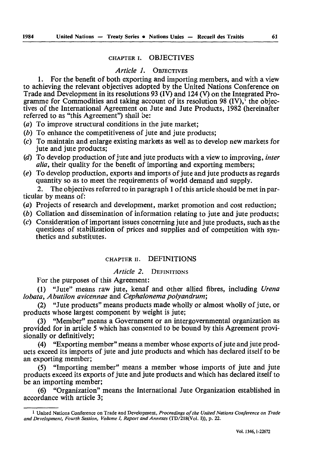#### **CHAPTER I. OBJECTIVES**

#### *Article 1.* OBJECTIVES

1. For the benefit of both exporting and importing members, and with a view to achieving the relevant objectives adopted by the United Nations Conference on Trade and Development in its resolutions 93 (IV) and 124 (V) on the Integrated Pro gramme for Commodities and taking account of its resolution 98  $(IV)$ , the objectives of the International Agreement on Jute and Jute Products, 1982 (hereinafter referred to as "this Agreement") shall be:

- (a) To improve structural conditions in the jute market;
- *(b) To* enhance the competitiveness of jute and jute products;
- (c) To maintain and enlarge existing markets as well as to develop new markets for jute and jute products;
- *(d) To* develop production of jute and jute products with a view to improving, *inter alia,* their quality for the benefit of importing and exporting members;
- *(e)* To develop production, exports and imports of jute and jute products as regards quantity so as to meet the requirements of world demand and supply.

2. The objectives referred to in paragraph 1 of this article should be met in par ticular by means of:

- *(a)* Projects of research and development, market promotion and cost reduction;
- *(b)* Collation and dissemination of information relating to jute and jute products;
- *(c)* Consideration of important issues concerning jute and jute products, such as the questions of stabilization of prices and supplies and of competition with syn thetics and substitutes.

#### CHAPTER H. DEFINITIONS

#### *Article 2.* DEFINITIONS

For the purposes of this Agreement:

(1) "Jute" means raw jute, kenaf and other allied fibres, including *Urena lobata, Abutilon avicennae* and *Cephalonema polyandrum*;

(2) "Jute products" means products made wholly or almost wholly of jute, or products whose largest component by weight is jute;

(3) "Member" means a Government or an intergovernmental organization as provided for in article 5 which has consented to be bound by this Agreement provi sionally or definitively;

(4) "Exporting member" means a member whose exports of jute and jute prod ucts exceed its imports of jute and jute products and which has declared itself to be an exporting member;

(5) "Importing member" means a member whose imports of jute and jute products exceed its exports of jute and jute products and which has declared itself to be an importing member;

(6) "Organization" means the International Jute Organization established in accordance with article 3;

<sup>1</sup> United Nations Conference on Trade and Development, *Proceedings of the United Nations Conference on Trade and Development, Fourth Session, Volume I, Report and Annexes* (TD/218(Vol. I)), p. 22.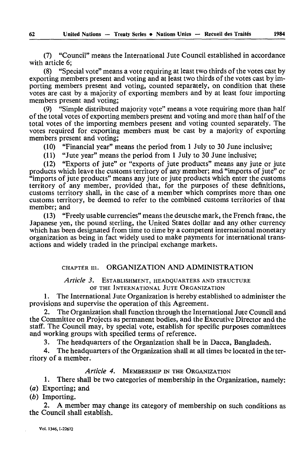(7) "Council" means the International Jute Council established in accordance with article 6;

(8) "Special vote" means a vote requiring at least two thirds of the votes cast by exporting members present and voting and at least two thirds of the votes cast by im porting members present and voting, counted separately, on condition that these votes are cast by a majority of exporting members and by at least four importing members present and voting;

"Simple distributed majority vote" means a vote requiring more than half of the total votes of exporting members present and voting and more than half of the total votes of the importing members present and voting counted separately. The votes required for exporting members must be cast by a majority of exporting members present and voting;

(10) "Financial year" means the period from 1 July to 30 June inclusive;

(11) "Jute year" means the period from 1 July to 30 June inclusive;

(12) "Exports of jute" or "exports of jute products" means any jute or jute products which leave the customs territory of any member; and "imports of jute" or "imports of jute products" means any jute or jute products which enter the customs territory of any member, provided that, for the purposes of these definitions, customs territory shall, in the case of a member which comprises more than one customs territory, be deemed to refer to the combined customs territories of that member; and

(13) "Freely usable currencies" means the deutsche mark, the French franc, the Japanese yen, the pound sterling, the United States dollar and any other currency which has been designated from time to time by a competent international monetary organization as being in fact widely used to make payments for international trans actions and widely traded in the principal exchange markets.

#### CHAPTER m. ORGANIZATION AND ADMINISTRATION

#### Article 3. ESTABLISHMENT, HEADQUARTERS AND STRUCTURE OF THE INTERNATIONAL JUTE ORGANIZATION

1. The International Jute Organization is hereby established to administer the provisions and supervise the operation of this Agreement.

2. The Organization shall function through the International Jute Council and the Committee on Projects as permanent bodies, and the Executive Director and the staff. The Council may, by special vote, establish for specific purposes committees and working groups with specified terms of reference.

3. The headquarters of the Organization shall be in Dacca, Bangladesh.

4. The headquarters of the Organization shall at all times be located in the ter ritory of a member.

#### *Article 4.* MEMBERSHIP IN THE ORGANIZATION

1. There shall be two categories of membership in the Organization, namely: (a) Exporting; and

*(b)* Importing.

2. A member may change its category of membership on such conditions as the Council shall establish.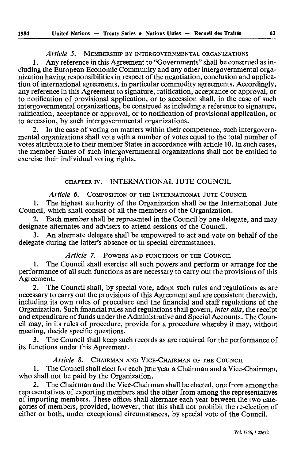#### *Article 5.* MEMBERSHIP BY INTERGOVERNMENTAL ORGANIZATIONS

1. Any reference in this Agreement to "Governments" shall be construed as in cluding the European Economic Community and any other intergovernmental orga nization having responsibilities in respect of the negotiation, conclusion and applica tion of international agreements, in particular commodity agreements. Accordingly, any reference in this Agreement to signature, ratification, acceptance or approval, or to notification of provisional application, or to accession shall, in the case of such intergovernmental organizations, be construed as including a reference to signature, ratification, acceptance or approval, or to notification of provisional application, or to accession, by such intergovernmental organizations.

2. In the case of voting on matters within their competence, such intergovern mental organizations shall vote with a number of votes equal to the total number of votes attributable to their member States in accordance with article 10. In such cases, the member States of such intergovernmental organizations shall not be entitled to exercise their individual voting rights.

#### CHAPTER rv. INTERNATIONAL JUTE COUNCIL

*Article 6.* COMPOSITION OF THE INTERNATIONAL JUTE COUNCIL

1. The highest authority of the Organization shall be the International Jute Council, which shall consist of all the members of the Organization.

2. Each member shall be represented in the Council by one delegate, and may designate alternates and advisers to attend sessions of the Council.

An alternate delegate shall be empowered to act and vote on behalf of the delegate during the latter's absence or in special circumstances.

#### *Article 7.* POWERS AND FUNCTIONS OF THE COUNCIL

1. The Council shall exercise all such powers and perform or arrange for the performance of all such functions as are necessary to carry out the provisions of this Agreement.

2. The Council shall, by special vote, adopt such rules and regulations as are necessary to carry out the provisions of this Agreement and are consistent therewith, including its own rules of procedure and the financial and staff regulations of the Organization. Such financial rules and regulations shall govern, *inter alia,* the receipt and expenditure of funds under the Administrative and Special Accounts. The Coun cil may, in its rules of procedure, provide for a procedure whereby it may, without meeting, decide specific questions.

3. The Council shall keep such records as are required for the performance of its functions under this Agreement.

#### *Article 8.* CHAIRMAN AND VICE-CHAIRMAN OF THE COUNCIL

1. The Council shall elect for each jute year a Chairman and a Vice-Chairman, who shall not be paid by the Organization.

2. The Chairman and the Vice-Chairman shall be elected, one from among the representatives of exporting members and the other from among the representatives of importing members. These offices shall alternate each year between the two cate gories of members, provided, however, that this shall not prohibit the re-election of either or both, under exceptional circumstances, by special vote of the Council.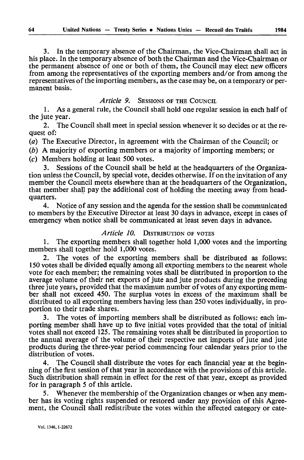3. In the temporary absence of the Chairman, the Vice-Chairman shall act in his place. In the temporary absence of both the Chairman and the Vice-Chairman or the permanent absence of one or both of them, the Council may elect new officers from among the representatives of the exporting members and/or from among the representatives of the importing members, as the case may be, on a temporary or per manent basis.

#### *Article 9.* SESSIONS OF THE COUNCIL

1. As a general rule, the Council shall hold one regular session in each half of the jute year.

2. The Council shall meet in special session whenever it so decides or at the re quest of:

(a) The Executive Director, in agreement with the Chairman of the Council; or

(6) A majority of exporting members or a majority of importing members; or

(c) Members holding at least 500 votes.

3. Sessions of the Council shall be held at the headquarters of the Organiza tion unless the Council, by special vote, decides otherwise. If on the invitation of any member the Council meets elsewhere than at the headquarters of the Organization, that member shall pay the additional cost of holding the meeting away from head quarters.

4. Notice of any session and the agenda for the session shall be communicated to members by the Executive Director at least 30 days in advance, except in cases of emergency when notice shall be communicated at least seven days in advance.

#### *Article 10.* DISTRIBUTION OF VOTES

1. The exporting members shall together hold 1,000 votes and the importing members shall together hold 1,000 votes.

2. The votes of the exporting members shall be distributed as follows: 150 votes shall be divided equally among all exporting members to the nearest whole vote for each member; the remaining votes shall be distributed in proportion to the average volume of their net exports of jute and jute products during the preceding three jute years, provided that the maximum number of votes of any exporting mem ber shall not exceed 450. The surplus votes in excess of the maximum shall be distributed to all exporting members having less than 250 votes individually, in pro portion to their trade shares.

3. The votes of importing members shall be distributed as follows: each im porting member shall have up to five initial votes provided that the total of initial votes shall not exceed 125. The remaining votes shall be distributed in proportion to the annual average of the volume of their respective net imports of jute and jute products during the three-year period commencing four calendar years prior to the distribution of votes.

4. The Council shall distribute the votes for each financial year at the begin ning of the first session of that year in accordance with the provisions of this article. Such distribution shall remain in effect for the rest of that year, except as provided for in paragraph 5 of this article.

5. Whenever the membership of the Organization changes or when any mem ber has its voting rights suspended or restored under any provision of this Agree ment, the Council shall redistribute the votes within the affected category or cate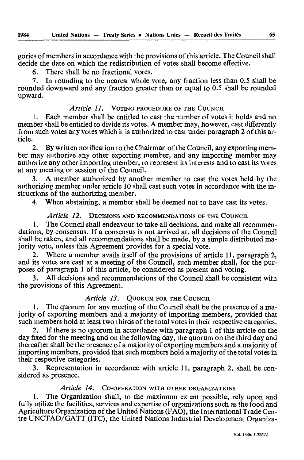gories of members in accordance with the provisions of this article. The Council shall decide the date on which the redistribution of votes shall become effective.

6. There shall be no fractional votes.

7. In rounding to the nearest whole vote, any fraction less than 0.5 shall be rounded downward and any fraction greater than or equal to 0.5 shall be rounded upward.

#### *Article 11.* VOTING PROCEDURE OF THE COUNCIL

1. Each member shall be entitled to cast the number of votes it holds and no member shall be entitled to divide its votes. A member may, however, cast differently from such votes any votes which it is authorized to cast under paragraph 2 of this ar ticle.

2. By written notification to the Chairman of the Council, any exporting mem ber may authorize any other exporting member, and any importing member may authorize any other importing member, to represent its interests and to cast its votes at any meeting or session of the Council.

3. A member authorized by another member to cast the votes held by the authorizing member under article 10 shall cast such votes in accordance with the in structions of the authorizing member.

4. When abstaining, a member shall be deemed not to have cast its votes.

#### *Article 12.* DECISIONS AND RECOMMENDATIONS OF THE COUNCIL

1. The Council shall endeavour to take all decisions, and make all recommen dations, by consensus. If a consensus is not arrived at, all decisions of the Council shall be taken, and all recommendations shall be made, by a simple distributed ma jority vote, unless this Agreement provides for a special vote.

2. Where a member avails itself of the provisions of article 11, paragraph 2, and its votes are cast at a meeting of the Council, such member shall, for the pur poses of paragraph 1 of this article, be considered as present and voting.

3. All decisions and recommendations of the Council shall be consistent with the provisions of this Agreement.

#### Article 13. QUORUM FOR THE COUNCIL

1. The quorum for any meeting of the Council shall be the presence of a ma jority of exporting members and a majority of importing members, provided that such members hold at least two thirds of the total votes in their respective categories.

2. If there is no quorum in accordance with paragraph 1 of this article on the day fixed for the meeting and on the following day, the quorum on the third day and thereafter shall be the presence of a majority of exporting members and a majority of importing members, provided that such members hold a majority of the total votes in their respective categories.

3. Representation in accordance with article 11, paragraph 2, shall be con sidered as presence.

#### *Article 14.* CO-OPERATION WITH OTHER ORGANIZATIONS

1. The Organization shall, to the maximum extent possible, rely upon and fully utilize the facilities, services and expertise of organizations such as the food and Agriculture Organization of the United Nations (FAO), the International Trade Cen tre UNCTAD/GATT (ITC), the United Nations Industrial Development Organiza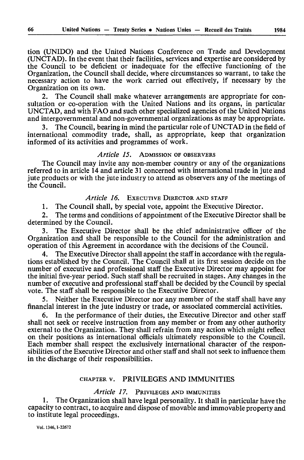tion (UNIDO) and the United Nations Conference on Trade and Development (UNCTAD). In the event that their facilities, services and expertise are considered by the Council to be deficient or inadequate for the effective functioning of the Organization, the Council shall decide, where circumstances so warrant, to take the necessary action to have the work carried out effectively, if necessary by the Organization on its own.

2. The Council shall make whatever arrangements are appropriate for con sultation or co-operation with the United Nations and its organs, in particular UNCTAD, and with FAO and such other specialized agencies of the United Nations and intergovernmental and non-governmental organizations as may be appropriate.

3. The Council, bearing in mind the particular role of UNCTAD in the field of international commodity trade, shall, as appropriate, keep that organization informed of its activities and programmes of work.

#### *Article 15.* ADMISSION OF OBSERVERS

The Council may invite any non-member country or any of the organizations referred to in article 14 and article 31 concerned with international trade in jute and jute products or with the jute industry to attend as observers any of the meetings of the Council.

#### *Article 16.* EXECUTIVE DIRECTOR AND STAFF

1. The Council shall, by special vote, appoint the Executive Director.

2. The terms and conditions of appointment of the Executive Director shall be determined by the Council.

3. The Executive Director shall be the chief administrative officer of the Organization and shall be responsible to the Council for the administration and operation of this Agreement in accordance with the decisions of the Council.

The Executive Director shall appoint the staff in accordance with the regulations established by the Council. The Council shall at its first session decide on the number of executive and professional staff the Executive Director may appoint for the initial five-year period. Such staff shall be recruited in stages. Any changes in the number of executive and professional staff shall be decided by the Council by special vote. The staff shall be responsible to the Executive Director.

5. Neither the Executive Director nor any member of the staff shall have any financial interest in the jute industry or trade, or associated commercial activities.

In the performance of their duties, the Executive Director and other staff shall not seek or receive instruction from any member or from any other authority external to the Organization. They shall refrain from any action which might reflect on their positions as international officials ultimately responsible to the Council. Each member shall respect the exclusively international character of the respon sibilities of the Executive Director and other staff and shall not seek to influence them in the discharge of their responsibilities.

#### CHAPTER v. PRIVILEGES AND IMMUNITIES

#### *Article 17.* PRIVILEGES AND IMMUNITIES

1. The Organization shall have legal personality. It shall in particular have the capacity to contract, to acquire and dispose of movable and immovable property and to institute legal proceedings.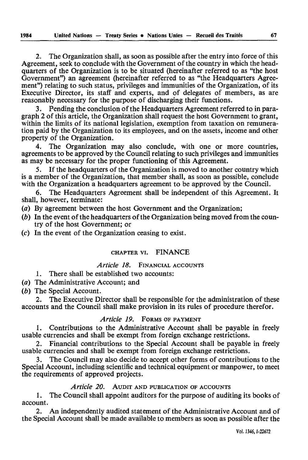2. The Organization shall, as soon as possible after the entry into force of this Agreement, seek to conclude with the Government of the country in which the head quarters of the Organization is to be situated (hereinafter referred to as "the host Government") an agreement (hereinafter referred to as "the Headquarters Agree ment") relating to such status, privileges and immunities of the Organization, of its Executive Director, its staff and experts, and of delegates of members, as are reasonably necessary for the purpose of discharging their functions.

3. Pending the conclusion of the Headquarters Agreement referred to in para graph 2 of this article, the Organization shall request the host Government to grant, within the limits of its national legislation, exemption from taxation on remunera tion paid by the Organization to its employees, and on the assets, income and other property of the Organization.

4. The Organization may also conclude, with one or more countries, agreements to be approved by the Council relating to such privileges and immunities as may be necessary for the proper functioning of this Agreement.

5. If the headquarters of the Organization is moved to another country which is a member of the Organization, that member shall, as soon as possible, conclude with the Organization a headquarters agreement to be approved by the Council.

6. The Headquarters Agreement shall be independent of this Agreement. It shall, however, terminate:

*(a)* By agreement between the host Government and the Organization;

- $(b)$  In the event of the headquarters of the Organization being moved from the country of the host Government; or
- (c) In the event of the Organization ceasing to exist.

#### CHAPTER vi. FINANCE

#### *Article 18.* FINANCIAL ACCOUNTS

1. There shall be established two accounts:

*(a)* The Administrative Account; and

 $(b)$  The Special Account.

2. The Executive Director shall be responsible for the administration of these accounts and the Council shall make provision in its rules of procedure therefor.

#### *Article 19.* FORMS OF PAYMENT

1. Contributions to the Administrative Account shall be payable in freely usable currencies and shall be exempt from foreign exchange restrictions.

2. Financial contributions to the Special Account shall be payable in freely usable currencies and shall be exempt from foreign exchange restrictions.

3. The Council may also decide to accept other forms of contributions to the Special Account, including scientific and technical equipment or manpower, to meet the requirements of approved projects.

#### *Article 20.* AUDIT AND PUBLICATION OF ACCOUNTS

1. The Council shall appoint auditors for the purpose of auditing its books of account.

2. An independently audited statement of the Administrative Account and of the Special Account shall be made available to members as soon as possible after the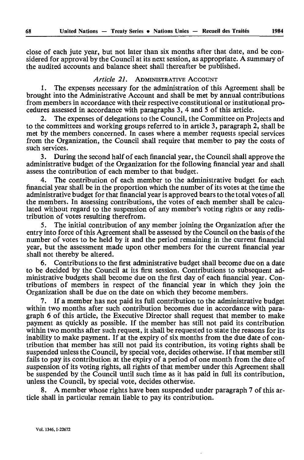close of each jute year, but not later than six months after that date, and be con sidered for approval by the Council at its next session, as appropriate. A summary of the audited accounts and balance sheet shall thereafter be published.

#### *Article 21.* ADMINISTRATIVE ACCOUNT

1. The expenses necessary for the administration of this Agreement shall be brought into the Administrative Account and shall be met by annual contributions from members in accordance with their respective constitutional or institutional pro cedures assessed in accordance with paragraphs 3, 4 and 5 of this article.

2. The expenses of delegations to the Council, the Committee on Projects and to the committees and working groups referred to in article 3, paragraph 2, shall be met by the members concerned. In cases where a member requests special services from the Organization, the Council shall require that member to pay the costs of such services.

3. During the second half of each financial year, the Council shall approve the administrative budget of the Organization for the following financial year and shall assess the contribution of each member to that budget.

The contribution of each member to the administrative budget for each financial year shall be in the proportion which the number of its votes at the time the administrative budget for that financial year is approved bears to the total votes of all the members. In assessing contributions, the votes of each member shall be calcu lated without regard to the suspension of any member's voting rights or any redis tribution of votes resulting therefrom.

5. The initial contribution of any member joining the Organization after the entry into force of this Agreement shall be assessed by the Council on the basis of the number of votes to be held by it and the period remaining in the current financial year, but the assessment made upon other members for the current financial year shall not thereby be altered.

6. Contributions to the first administrative budget shall become due on a date to be decided by the Council at its first session. Contributions to subsequent ad ministrative budgets shall become due on the first day of each financial year. Con tributions of members in respect of the financial year in which they join the Organization shall be due on the date on which they become members.

7. If a member has not paid its full contribution to the administrative budget within two months after such contribution becomes due in accordance with para graph 6 of this article, the Executive Director shall request that member to make payment as quickly as possible. If the member has still not paid its contribution within two months after such request, it shall be requested to state the reasons for its inability to make payment. If at the expiry of six months from the due date of con tribution that member has still not paid its contribution, its voting rights shall be suspended unless the Council, by special vote, decides otherwise. If that member still fails to pay its contribution at the expiry of a period of one month from the date of suspension of its voting rights, all rights of that member under this Agreement shall be suspended by the Council until such time as it has paid in full its contribution, unless the Council, by special vote, decides otherwise.

8. A member whose rights have been suspended under paragraph 7 of this ar ticle shall in particular remain liable to pay its contribution.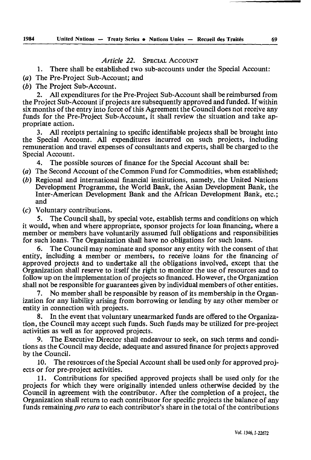#### *Article 22.* SPECIAL ACCOUNT

1. There shall be established two sub-accounts under the Special Account:

*(a)* The Pre-Project Sub-Account; and

*(b)* The Project Sub-Account.

All expenditures for the Pre-Project Sub-Account shall be reimbursed from the Project Sub-Account if projects are subsequently approved and funded. If within six months of the entry into force of this Agreement the Council does not receive any funds for the Pre-Project Sub-Account, it shall review the situation and take ap propriate action.

3. All receipts pertaining to specific identifiable projects shall be brought into the Special Account. All expenditures incurred on such projects, including remuneration and travel expenses of consultants and experts, shall be charged to the Special Account.

4. The possible sources of finance for the Special Account shall be:

- *(à)* The Second Account of the Common Fund for Commodities, when established;
- *(b)* Regional and international financial institutions, namely, the United Nations Development Programme, the World Bank, the Asian Development Bank, the Inter-American Development Bank and the African Development Bank, etc.; and
- (c) Voluntary contributions.

5. The Council shall, by special vote, establish terms and conditions on which it would, when and where appropriate, sponsor projects for loan financing, where a member or members have voluntarily assumed full obligations and responsibilities for such loans. The Organization shall have no obligations for such loans.

6. The Council may nominate and sponsor any entity with the consent of that entity, including a member or members, to receive loans for the financing of approved projects and to undertake all the obligations involved, except that the Organization shall reserve to itself the right to monitor the use of resources and to follow up on the implementation of projects so financed. However, the Organization shall not be responsible for guarantees given by individual members of other entities.

7. No member shall be responsible by reason of its membership in the Organ ization for any liability arising from borrowing or lending by any other member or entity in connection with projects.

8. In the event that voluntary unearmarked funds are offered to the Organiza tion, the Council may accept such funds. Such funds may be utilized for pre-project activities as well as for approved projects.

The Executive Director shall endeavour to seek, on such terms and conditions as the Council may decide, adequate and assured finance for projects approved by the Council.

10. The resources of the Special Account shall be used only for approved proj ects or for pre-project activities.

11. Contributions for specified approved projects shall be used only for the projects for which they were originally intended unless otherwise decided by the Council in agreement with the contributor. After the completion of a project, the Organization shall return to each contributor for specific projects the balance of any funds remaining *pro rata* to each contributor's share in the total of the contributions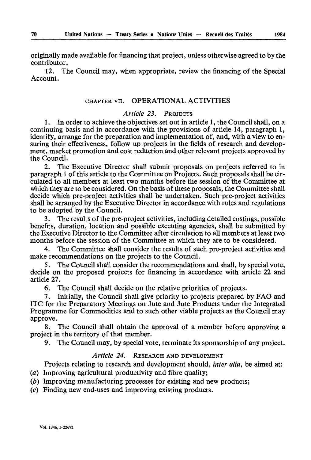originally made available for financing that project, unless otherwise agreed to by the contributor.

12. The Council may, when appropriate, review the financing of the Special Account.

#### CHAPTER vu. OPERATIONAL ACTIVITIES

#### *Article 23.* PROJECTS

1. In order to achieve the objectives set out in article 1, the Council shall, on a continuing basis and in accordance with the provisions of article 14, paragraph 1, identify, arrange for the preparation and implementation of, and, with a view to en suring their effectiveness, follow up projects in the fields of research and develop ment, market promotion and cost reduction and other relevant projects approved by the Council.

2. The Executive Director shall submit proposals on projects referred to in paragraph 1 of this article to the Committee on Projects. Such proposals shall be cir culated to all members at least two months before the session of the Committee at which they are to be considered. On the basis of these proposals, the Committee shall decide which pre-project activities shall be undertaken. Such pre-project activities shall be arranged by the Executive Director in accordance with rules and regulations to be adopted by the Council.

3. The results of the pre-project activities, including detailed costings, possible benefits, duration, location and possible executing agencies, shall be submitted by the Executive Director to the Committee after circulation to all members at least two months before the session of the Committee at which they are to be considered.

4. The Committee shall consider the results of such pre-project activities and make recommendations on the projects to the Council.

5. The Council shall consider the recommendations and shall, by special vote, decide on the proposed projects for financing in accordance with article 22 and article 27.

6. The Council shall decide on the relative priorities of projects.

7. Initially, the Council shall give priority to projects prepared by FAO and ITC for the Preparatory Meetings on Jute and Jute Products under the Integrated Programme for Commodities and to such other viable projects as the Council may approve.

8. The Council shall obtain the approval of a member before approving a project in the territory of that member.

9. The Council may, by special vote, terminate its sponsorship of any project.

#### *Article 24.* RESEARCH AND DEVELOPMENT

Projects relating to research and development should, *inter alia,* be aimed at: (a) Improving agricultural productivity and fibre quality;

- *(b)* Improving manufacturing processes for existing and new products;
- (c) Finding new end-uses and improving existing products.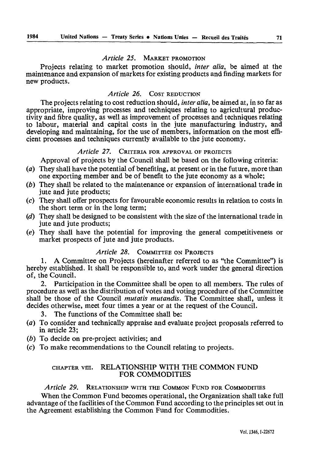#### *Article 25.* MARKET PROMOTION

Projects relating to market promotion should, *inter alia,* be aimed at the maintenance and expansion of markets for existing products and finding markets for new products.

#### *Article 26.* COST REDUCTION

The projects relating to cost reduction should, *inter alia,* be aimed at, in so far as appropriate, improving processes and techniques relating to agricultural produc tivity and fibre quality, as well as improvement of processes and techniques relating to labour, material and capital costs in the jute manufacturing industry, and developing and maintaining, for the use of members, information on the most effi cient processes and techniques currently available to the jute economy.

#### *Article 27.* CRITERIA FOR APPROVAL OF PROJECTS

Approval of projects by the Council shall be based on the following criteria:

- *(a)* They shall have the potential of benefiting, at present or in the future, more than one exporting member and be of benefit to the jute economy as a whole;
- (6) They shall be related to the maintenance or expansion of international trade in jute and jute products:
- (c) They shall offer prospects for favourable economic results in relation to costs in the short term or in the long term;
- *(d)* They shall be designed to be consistent with the size of the international trade in jute and jute products:
- *(e)* They shall have the potential for improving the general competitiveness or market prospects of jute and jute products.

#### *Article 28.* COMMITTEE ON PROJECTS

1. A Committee on Projects (hereinafter referred to as "the Committee") is hereby established. It shall be responsible to, and work under the general direction of, the Council.

2. Participation in the Committee shall be open to all members. The rules of procedure as well as the distribution of votes and voting procedure of the Committee shall be those of the Council *mutatis mutandis.* The Committee shall, unless it decides otherwise, meet four times a year or at the request of the Council.

3. The functions of the Committee shall be:

- (a) To consider and technically appraise and evaluate project proposals referred to in article 23;
- *(b)* To decide on pre-project activities; and
- *(c)* To make recommendations to the Council relating to projects.

#### CHAPTER VIII. RELATIONSHIP WITH THE COMMON FUND FOR COMMODITIES

#### *Article 29.* RELATIONSHIP WITH THE COMMON FUND FOR COMMODITIES

When the Common Fund becomes operational, the Organization shall take full advantage of the facilities of the Common Fund according to the principles set out in the Agreement establishing the Common Fund for Commodities.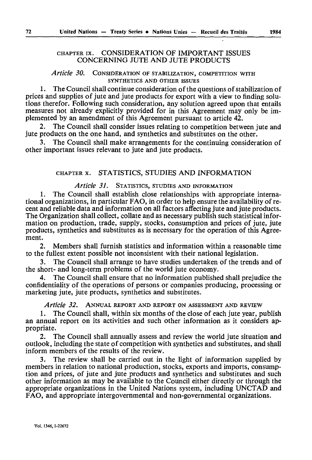#### CHAPTER ix. CONSIDERATION OF IMPORTANT ISSUES CONCERNING JUTE AND JUTE PRODUCTS

#### *Article 30.* CONSIDERATION OF STABILIZATION, COMPETITION WITH SYNTHETICS AND OTHER ISSUES

1. The Council shall continue consideration of the questions of stabilization of prices and supplies of jute and jute products for export with a view to finding solu tions therefor. Following such consideration, any solution agreed upon that entails measures not already explicitly provided for in this Agreement may only be im plemented by an amendment of this Agreement pursuant to article 42.

2. The Council shall consider issues relating to competition between jute and jute products on the one hand, and synthetics and substitutes on the other.

The Council shall make arrangements for the continuing consideration of other important issues relevant to jute and jute products.

#### CHAPTER x. STATISTICS, STUDIES AND INFORMATION

#### *Article 31.* STATISTICS, STUDIES AND INFORMATION

1. The Council shall establish close relationships with appropriate interna tional organizations, in particular FAO, in order to help ensure the availability of re cent and reliable data and information on all factors affecting jute and jute products. The Organization shall collect, collate and as necessary publish such statistical infor mation on production, trade, supply, stocks, consumption and prices of jute, jute products, synthetics and substitutes as is necessary for the operation of this Agree ment.

2. Members shall furnish statistics and information within a reasonable time to the fullest extent possible not inconsistent with their national legislation.

3. The Council shall arrange to have studies undertaken of the trends and of the short- and long-term problems of the world jute economy.

The Council shall ensure that no information published shall prejudice the confidentiality of the operations of persons or companies producing, processing or marketing jute, jute products, synthetics and substitutes.

*Article 32.* ANNUAL REPORT AND REPORT ON ASSESSMENT AND REVIEW

1. The Council shall, within six months of the close of each jute year, publish an annual report on its activities and such other information as it considers ap propriate.

2. The Council shall annually assess and review the world jute situation and outlook, including the state of competition with synthetics and substitutes, and shall inform members of the results of the review.

3. The review shall be carried out in the light of information supplied by members in relation to national production, stocks, exports and imports, consump tion and prices, of jute and jute products and synthetics and substitutes and such other information as may be available to the Council either directly or through the appropriate organizations in the United Nations system, including UNCTAD and FAO, and appropriate intergovernmental and non-governmental organizations.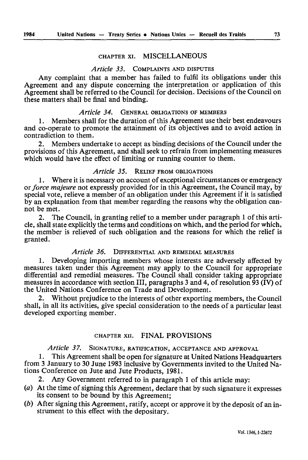#### CHAPTER xi. MISCELLANEOUS

#### *Article 33.* COMPLAINTS AND DISPUTES

Any complaint that a member has failed to fulfil its obligations under this Agreement and any dispute concerning the interpretation or application of this Agreement shall be referred to the Council for decision. Decisions of the Council on these matters shall be final and binding.

#### *Article 34.* GENERAL OBLIGATIONS OF MEMBERS

1. Members shall for the duration of this Agreement use their best endeavours and co-operate to promote the attainment of its objectives and to avoid action in contradiction to them.

2. Members undertake to accept as binding decisions of the Council under the provisions of this Agreement, and shall seek to refrain from implementing measures which would have the effect of limiting or running counter to them.

#### *Article 35.* RELIEF FROM OBLIGATIONS

1. Where it is necessary on account of exceptional circumstances or emergency *or force majeure* not expressly provided for in this Agreement, the Council may, by special vote, relieve a member of an obligation under this Agreement if it is satisfied by an explanation from that member regarding the reasons why the obligation can not be met.

2. The Council, in granting relief to a member under paragraph 1 of this arti cle, shall state explicitly the terms and conditions on which, and the period for which, the member is relieved of such obligation and the reasons for which the relief is granted.

#### *Article 36.* DIFFERENTIAL AND REMEDIAL MEASURES

1. Developing importing members whose interests are adversely affected by measures taken under this Agreement may apply to the Council for appropriate differential and remedial measures. The Council shall consider taking appropriate measures in accordance with section HI, paragraphs 3 and 4, of resolution 93 (IV) of the United Nations Conference on Trade and Development.

2. Without prejudice to the interests of other exporting members, the Council shall, in all its activities, give special consideration to the needs of a particular least developed exporting member.

#### CHAPTER xii. FINAL PROVISIONS

*Article 37.* SIGNATURE, RATIFICATION, ACCEPTANCE AND APPROVAL

1. This Agreement shall be open for signature at United Nations Headquarters from 3 January to 30 June 1983 inclusive by Governments invited to the United Na tions Conference on Jute and Jute Products, 1981.

2. Any Government referred to in paragraph 1 of this article may:

- *(a)* At the time of signing this Agreement, declare that by such signature it expresses its consent to be bound by this Agreement;
- (6) After signing this Agreement, ratify, accept or approve it by the deposit of an in strument to this effect with the depositary.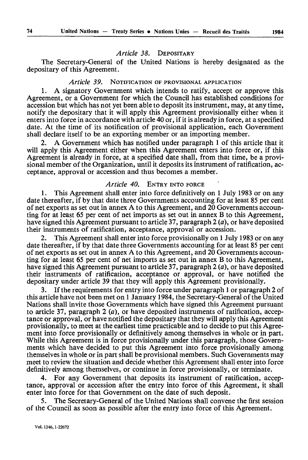#### *Article 38.* DEPOSITARY

The Secretary-General of the United Nations is hereby designated as the depositary of this Agreement.

#### *Article 39.* NOTIFICATION OF PROVISIONAL APPLICATION

1. A signatory Government which intends to ratify, accept or approve this Agreement, or a Government for which the Council has established conditions for accession but which has not yet been able to deposit its instrument, may, at any time, notify the depositary that it will apply this Agreement provisionally either when it enters into force in accordance with article 40 or, if it is already in force, at a specified date. At the time of its notification of provisional application, each Government shall declare itself to be an exporting member or an importing member.

2. A Government which has notified under paragraph 1 of this article that it will apply this Agreement either when this Agreement enters into force or, if this Agreement is already in force, at a specified date shall, from that time, be a provi sional member of the Organization, until it deposits its instrument of ratification, ac ceptance, approval or accession and thus becomes a member.

#### *Article 40.* ENTRY INTO FORCE

1. This Agreement shall enter into force definitively on 1 July 1983 or on any date thereafter, if by that date three Governments accounting for at least 85 per cent of net exports as set out in annex A to this Agreement, and 20 Governments accoun ting for at least 65 per cent of net imports as set out in annex B to this Agreement, have signed this Agreement pursuant to article 37, paragraph 2 *(a),* or have deposited their instruments of ratification, acceptance, approval or accession.

2. This Agreement shall enter into force provisionally on 1 July 1983 or on any date thereafter, if by that date three Governments accounting for at least 85 per cent of net exports as set out in annex A to this Agreement, and 20 Governments accoun ting for at least 65 per cent of net imports as set out in annex B to this Agreement, have signed this Agreement pursuant to article 37, paragraph 2 *(a),* or have deposited their instruments of ratification, acceptance or approval, or have notified the depositary under article 39 that they will apply this Agreement provisionally.

3. If the requirements for entry into force under paragraph 1 or paragraph 2 of this article have not been met on 1 January 1984, the Secretary-General of the United Nations shall invite those Governments which have signed this Agreement pursuant to article 37, paragraph 2  $(a)$ , or have deposited instruments of ratification, acceptance or approval, or have notified the depositary that they will apply this Agreement provisionally, to meet at the earliest time practicable and to decide to put this Agree ment into force provisionally or definitively among themselves in whole or in part. While this Agreement is in force provisionally under this paragraph, those Govern ments which have decided to put this Agreement into force provisionally among themselves in whole or in part shall be provisional members. Such Governments may meet to review the situation and decide whether this Agreement shall enter into force definitively among themselves, or continue in force provisionally, or terminate.

4. For any Government that deposits its instrument of ratification, accep tance, approval or accession after the entry into force of this Agreement, it shall enter into force for that Government on the date of such deposit.

5. The Secretary-General of the United Nations shall convene the first session of the Council as soon as possible after the entry into force of this Agreement.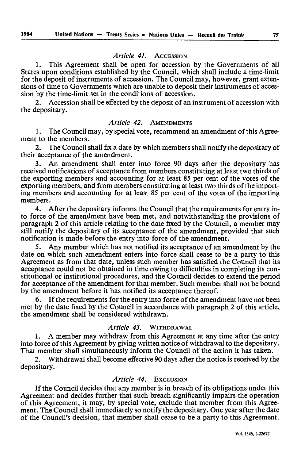#### *Article 4L* ACCESSION

1. This Agreement shall be open for accession by the Governments of all States upon conditions established by the Council, which shall include a time-limit for the deposit of instruments of accession. The Council may, however, grant exten sions of time to Governments which are unable to deposit their instruments of acces sion by the time-limit set in the conditions of accession.

2. Accession shall be effected by the deposit of an instrument of accession with the depositary.

#### *Article 42.* AMENDMENTS

1. The Council may, by special vote, recommend an amendment of this Agree ment to the members.

2. The Council shall fix a date by which members shall notify the depositary of their acceptance of the amendment.

3. An amendment shall enter into force 90 days after the depositary has received notifications of acceptance from members constituting at least two thirds of the exporting members and accounting for at least 85 per cent of the votes of the exporting members, and from members constituting at least two thirds of the import ing members and accounting for at least 85 per cent of the votes of the importing members.

4. After the depositary informs the Council that the requirements for entry in to force of the amendment have been met, and notwithstanding the provisions of paragraph 2 of this article relating to the date fixed by the Council, a member may still notify the depositary of its acceptance of the amendment, provided that such notification is made before the entry into force of the amendment.

5. Any member which has not notified its acceptance of an amendment by the date on which such amendment enters into force shall cease to be a party to this Agreement as from that date, unless such member has satisfied the Council that its acceptance could not be obtained in time owing to difficulties in completing its con stitutional or institutional procedures, and the Council decides to extend the period for acceptance of the amendment for that member. Such member shall not be bound by the amendment before it has notified its acceptance thereof.

6. If the requirements for the entry into force of the amendment have not been met by the date fixed by the Council in accordance with paragraph 2 of this article, the amendment shall be considered withdrawn.

#### *Article 43.* WITHDRAWAL

1. A member may withdraw from this Agreement at any time after the entry into force of this Agreement by giving written notice of withdrawal to the depositary. That member shall simultaneously inform the Council of the action it has taken.

2. Withdrawal shall become effective 90 days after the notice is received by the depositary.

#### *Article 44.* EXCLUSION

If the Council decides that any member is in breach of its obligations under this Agreement and decides further that such breach significantly impairs the operation of this Agreement, it may, by special vote, exclude that member from this Agree ment. The Council shall immediately so notify the depositary. One year after the date of the Council's decision, that member shall cease to be a party to this Agreement.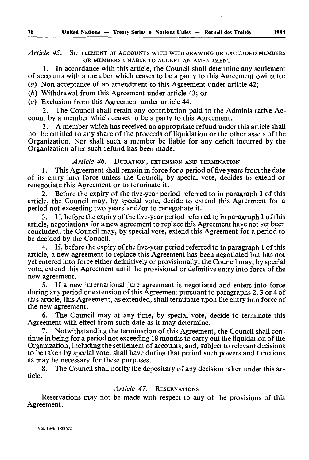#### *Article 45.* SETTLEMENT OF ACCOUNTS WITH WITHDRAWING OR EXCLUDED MEMBERS OR MEMBERS UNABLE TO ACCEPT AN AMENDMENT

1. In accordance with this article, the Council shall determine any settlement of accounts with a member which ceases to be a party to this Agreement owing to: *(a)* Non-acceptance of an amendment to this Agreement under article 42;

(b) Withdrawal from this Agreement under article  $43$ ; or

(c) Exclusion from this Agreement under article 44.

2. The Council shall retain any contribution paid to the Administrative Ac count by a member which ceases to be a party to this Agreement.

3. A member which has received an appropriate refund under this article shall not be entitled to any share of the proceeds of liquidation or the other assets of the Organization. Nor shall such a member be liable for any deficit incurred by the Organization after such refund has been made.

#### *Article 46.* DURATION, EXTENSION AND TERMINATION

1. This Agreement shall remain in force for a period of five years from the date of its entry into force unless the Council, by special vote, decides to extend or renegotiate this Agreement or to terminate it.

2. Before the expiry of the five-year period referred to in paragraph 1 of this article, the Council may, by special vote, decide to extend this Agreement for a period not exceeding two years and/or to renegotiate it.

3. If, before the expiry of the five-year period referred to in paragraph 1 of this article, negotiations for a new agreement to replace this Agreement have not yet been concluded, the Council may, by special vote, extend this Agreement for a period to be decided by the Council.

4. If, before the expiry of the five-year period referred to in paragraph 1 ofthis article, a new agreement to replace this Agreement has been negotiated but has not yet entered into force either definitively or provisionally, the Council may, by special vote, extend this Agreement until the provisional or definitive entry into force of the new agreement.

5. If a new international jute agreement is negotiated and enters into force during any period or extension of this Agreement pursuant to paragraphs 2, 3 or 4 of this article, this Agreement, as extended, shall terminate upon the entry into force of the new agreement.

6. The Council may at any time, by special vote, decide to terminate this Agreement with effect from such date as it may determine.

7. Notwithstanding the termination of this Agreement, the Council shall con tinue in being for a period not exceeding 18 months to carry out the liquidation of the Organization, including the settlement of accounts, and, subject to relevant decisions to be taken by special vote, shall have during that period such powers and functions as may be necessary for these purposes.

8. The Council shall notify the depositary of any decision taken under this ar ticle.

#### *Article 47.* RESERVATIONS

Reservations may not be made with respect to any of the provisions of this Agreement.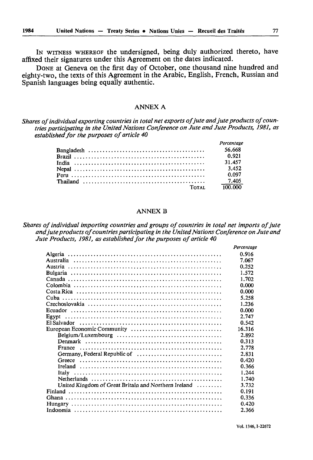IN WITNESS WHEREOF the undersigned, being duly authorized thereto, have affixed their signatures under this Agreement on the dates indicated.

DONE at Geneva on the first day of October, one thousand nine hundred and eighty-two, the texts of this Agreement in the Arabic, English, French, Russian and Spanish languages being equally authentic.

#### ANNEX A

*Shares of individual exporting countries in total net exports of jute and jute products of coun tries participating in the United Nations Conference on Jute and Jute Products, 1981, as established for the purposes of article 40*

| Percentage                                                                                       |
|--------------------------------------------------------------------------------------------------|
| 56.668                                                                                           |
| 0.921                                                                                            |
| 31.457                                                                                           |
| 3.452                                                                                            |
| 0.097                                                                                            |
|                                                                                                  |
| $T$ <sub>O</sub> $T_{0}$ $T_{0}$ $T_{0}$ $T_{0}$ $T_{0}$ $T_{0}$ $T_{0}$ $T_{0}$ $T_{0}$ $T_{0}$ |

#### **ANNEX B**

*Shares of individual importing countries and groups of countries in total net imports of jute and jute products of countries participating in the United Nations Conference on Jute and Jute Products, 1981, as established for the purposes of article 40*

|                                                                                                   | Percentage |
|---------------------------------------------------------------------------------------------------|------------|
|                                                                                                   | 0.916      |
|                                                                                                   | 7.067      |
|                                                                                                   | 0.252      |
|                                                                                                   | 1.572      |
|                                                                                                   | 1.702      |
|                                                                                                   | 0.000      |
|                                                                                                   | 0.000      |
|                                                                                                   | 5.258      |
|                                                                                                   | 1.236      |
|                                                                                                   | 0.000      |
| Egypt                                                                                             | 2.747      |
| El Salvador                                                                                       | 0.542      |
| European Economic Community                                                                       | 16.316     |
|                                                                                                   | 2.892      |
|                                                                                                   | 0.313      |
| France                                                                                            | 2.778      |
|                                                                                                   | 2.831      |
|                                                                                                   | 0.420      |
|                                                                                                   | 0.366      |
| Italv                                                                                             | 1.244      |
| Netherlands $\dots \dots \dots \dots \dots \dots \dots \dots \dots \dots \dots \dots \dots \dots$ | 1.740      |
| United Kingdom of Great Britain and Northern Ireland $\ldots \ldots$                              | 3.732      |
|                                                                                                   | 0.191      |
|                                                                                                   | 0.336      |
|                                                                                                   | 0.420      |
|                                                                                                   | 2.366      |
|                                                                                                   |            |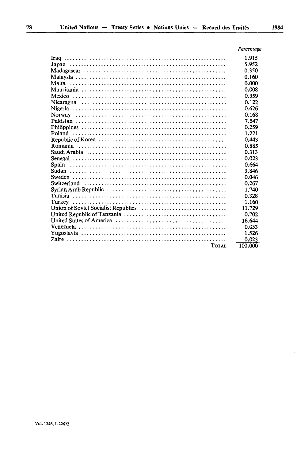|              | Percentage |
|--------------|------------|
|              | 1.915      |
|              | 5.952      |
|              | 0.350      |
|              | 0.160      |
| Malta        | 0.000      |
|              | 0.008      |
| Mexico       | 0.359      |
|              | 0.122      |
|              | 0.626      |
|              | 0.168      |
|              | 7.547      |
|              | 0.259      |
|              | 1.221      |
|              | 0.443      |
| Romania      | 0.885      |
|              | 0.313      |
|              | 0.023      |
|              | 0.664      |
|              | 3.846      |
|              | 0.046      |
|              | 0.267      |
|              | 1.740      |
|              | 0.328      |
|              | 1.160      |
|              | 11.729     |
|              | 0.702      |
|              | 16.644     |
|              | 0.053      |
|              | 1.526      |
|              | 0.023      |
| <b>TOTAL</b> | 100,000    |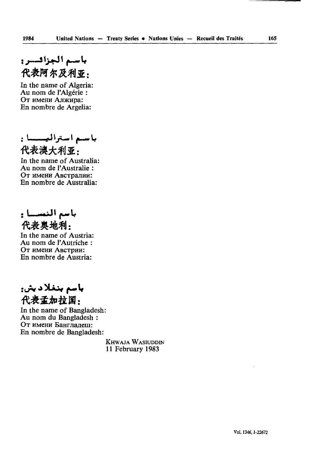باسم الجزافسير 代表阿尔及利亚.

In the name of Algeria: Au nom de l'Algérie : От имени Алжира: En nombre de Argelia:

**باسم استراليــــا :** 代表澳大利亚.

In the name of Australia: Au nom de l'Australie : От имени Австралии: En nombre de Australia:

باسم النمسسا و 代表奥地利.

In the name of Austria: Au nom de l'Autriche : OT HMCHH ABCTPHH: En nombre de Austria:

باسم بنغلاديش: 代表孟加拉国:

In the name of Bangladesh: Au nom du Bangladesh : От имени Бангладеш: En nombre de Bangladesh:

> KHWAJA WASIUDDIN 11 February 1983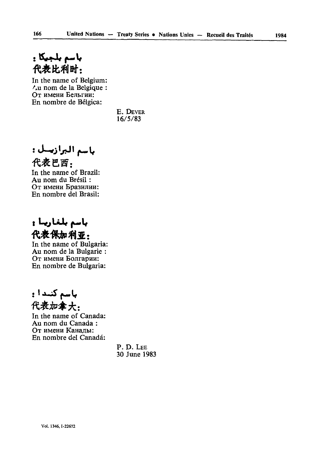باسم بلجيكا : 代表比利时:

In the name of Belgium: /\*xU nom de la Belgique : От имени Бельгии: En nombre de Bélgica:

> E. DEVER 16/5/83

باسم البرازيان 代表巴西.

In the name of Brazil: Au nom du Brésil : От имени Бразилии: En nombre del Brasil:

باسم بلغاربنا و 代表保加利亚:

In the name of Bulgaria: Au nom de la Bulgarie : От имени Болгарии: En nombre de Bulgaria:

باسم كنيدا و 代表加拿大:

In the name of Canada: Au nom du Canada : От имени Каналы: En nombre del Canada:

> P. D. LEE 30 June 1983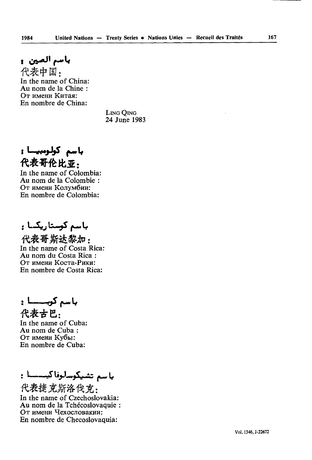باسم الصين و

代表中国. In the name of China: Au nom de la Chine : От имени Китая: En nombre de China:

> LING QING 24 June 1983

باسم کولومبیــا ۽ 代表哥伦比亚.

In the name of Colombia: Au nom de la Colombie : От имени Колумбии: En nombre de Colombia:

باسم كوستاريكما :

代表哥斯达黎加: In the name of Costa Rica: Au nom du Costa Rica : От имени Коста-Рики: En nombre de Costa Rica:

代表古巴:

In the name of Cuba: Au nom de Cuba : От имени Кубы: En nombre de Cuba:

باسم تشيكوسلوفاكيـــــا :

代表捷克斯洛伐克: In the name of Czechoslovakia: Au nom de la Tchécoslovaquie : От имени Чехословакии: En nombre de Checoslovaquia: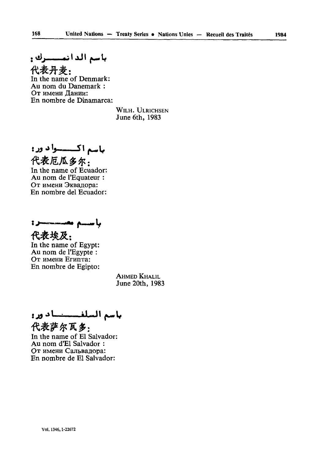باسم الدانعسيرك و

代表丹麦: In the name of Denmark: Au nom du Danemark : От имени Лании: En nombre de Dinamarca:

> WILH. ULRICHSEN June 6th, 1983

باسم اکــــواد ور: 代表厄瓜多尔:

In the name of Ecuador: Au nom de l'Equateur : От имени Эквадора: En nombre del Ecuador:

**باســم مســـــــر:** 

代表埃及: In the name of Egypt: Au nom de l'Egypte : От имени Египта: En nombre de Egipto:

> AHMED KHALIL June 20th, 1983

باسم السلفــــــــاد ورو

代表萨尔瓦多: In the name of El Salvador: Au nom d'El Salvador : От имени Сальвадора: En nombre de El Salvador: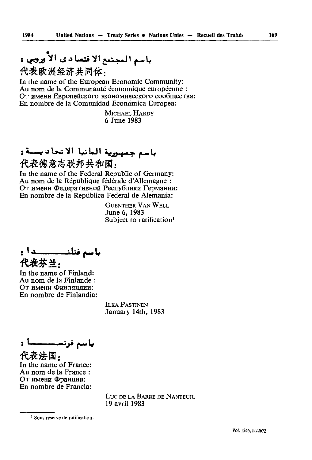# باسم المجتمع الاقتصادي الأوروبي :

代表欧洲经济共同体:

In the name of the European Economic Community: Au nom de la Communauté économique européenne : От имени Европейского экономического сообщества: En nombre de la Comunidad Econômica Europea:

> MICHAEL HARDY 6 June 1983

# باسم جمهورية المانيا الاتحاديسة:

代表德意志联邦共和国,

In the name of the Federal Republic of Germany: Au nom de la République fédérale d'Allemagne : От имени Федеративной Республики Германии: En nombre de la Repûblica Federal de Alemania:

> GUENTHER VAN WELL June 6, 1983 Subject to ratification<sup>1</sup>

باسم فنلنـــــــــدا : 代表芬兰.

In the name of Finland: Au nom de la Finlande : **OT** HMCHH **<I>HHJIHHflHH:** En nombre de Finlandia:

> ILKA PASTINEN January 14th, 1983

باسم فرنســــــ

代表法国. In the name of France: Au nom de la France : От имени Франции: En nombre de Francia:

> Luc DE LA BARRE DE NANTEUIL 19 avril 1983

<sup>1</sup> Sous réserve de ratification.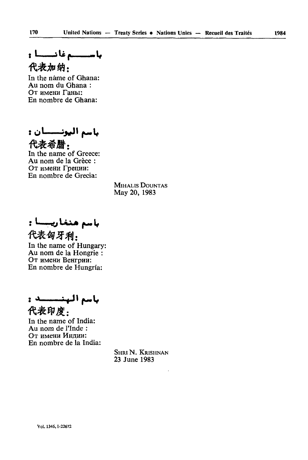باستست غانستسا :

代表加纳. In the name of Ghana: Au nom du Ghana : От имени Ганы: En nombre de Ghana:

باسم اليونسسان : 代表希腊.

In the name of Greece: Au nom de la Grèce : От имени Греции: En nombre de Grecia:

> MIHALIS DOUNTAS May 20, 1983

باسم هنغاریــــا :

代表匈牙利. In the name of Hungary: Au nom de la Hongrie : От имени Венгрии: En nombre de Hungrfa:

باسم الهنسسسة و 代表印度:

In the name of India: Au nom de l'Inde : От имени Индии: En nombre de la India:

> SHRI N. KRISHNAN 23 June 1983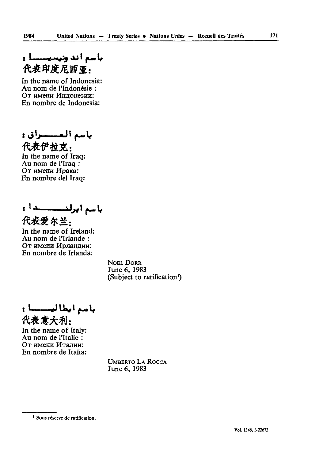بأسم أند ونيسيسسا : 代表印度尼西亚.

In the name of Indonesia: Au nom de l'Indonésie : **UT HM6HH HHflOHC3HH:** En nombre de Indonesia:

باسم المستسواق :<br>代表伊拉克 :

In the name of Iraq: Au nom de l'Iraq : От имени Ирака: En nombre del Iraq:

باسم أيرلنــــــــدا : 代表爱尔兰.

In the name of Ireland: Au nom de l'Irlande : От имени Ирландии: En nombre de Irlanda:

> NOEL DORR June 6, 1983 (Subject to ratification<sup>1</sup>)

باسم أيطاليـــــ 代表意大利:

In the name of Italy: Au nom de l'Italie : От имени Италии: En nombre de Italia:

> UMBERTO LA ROCCA June 6, 1983

<sup>1</sup> Sous réserve de ratification.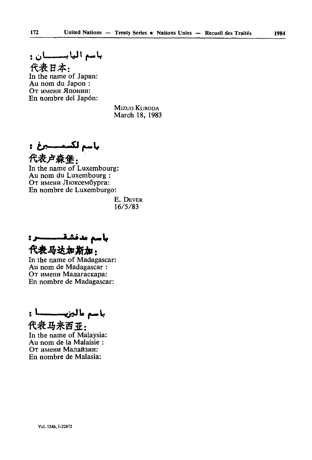باسم اليابــــان : 代表日本:

In the name of Japan: Au nom du Japon : От имени Японии: En nombre del Japon:

> MIZUO KURODA March 18, 1983

باسم لكسمــــجرغ :

代表卢森堡, In the name of Luxembourg: Au nom du Luxembourg : От имени Люксембурга: En nombre de Luxemburgo:

> E. DEVER 16/5/83

بأسم مدفشقسسسسر: 代表马达加斯加:

In the name of Madagascar: Au nom de Madagascar : От имени Мадагаскара: En nombre de Madagascar:

باسم ماليزيســــــا :

代表马来西亚: In the name of Malaysia: Au nom de la Malaisie : От имени Малайзии: En nombre de Malasia: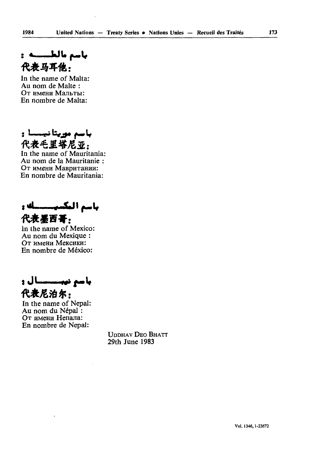باسم مالطىسسە: 代表马耳他:

In the name of Malta: Au nom de Malte : От имени Мальты: En nombre de Malta:

باسم موريتانيسسا : 代表毛里塔尼亚:

In the name of Mauritania: Au nom de la Mauritanie : От имени Мавритании: En nombre de Mauritania:

باسم المكسيسب 代表墨西哥:

In the name of Mexico: Au nom du Mexique : От имени Мексики: En nombre de Mexico:

باسم نيبـــــال و 代表尼泊尔:

In the name of Nepal: Au nom du Népal : От имени Непала: En nombre de Népal:

> UDDHAV DEO BHATT 29th June 1983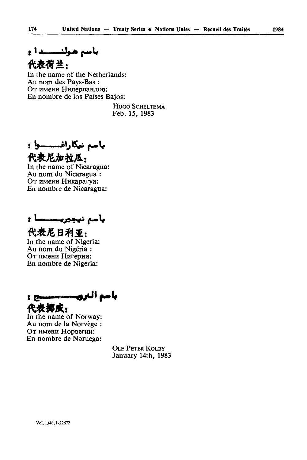باسم هولنسسندا و 代表荷兰:

In the name of the Netherlands: Au nom des Pays-Bas : От имени Нидерландов: En nombre de los Paises Bajos:

> **HUGO** SCHELTEMA Feb. 15, 1983

باسم نيكارافىسسىوا :

代表尼加拉瓜: In the name of Nicaragua: Au nom du Nicaragua : От имени Никарагуа:

En nombre de Nicaragua:

1 1

代表尼日利亚: In the name of Nigeria: Au nom du Nigéria : OT HMeHH Harepan: En nombre de Nigeria:

بأصم أثنروسست 1 D と郷成:

In the name of Norway: Au nom de la Norvège : От имени Норвегии: En nombre de Noruega:

OLE PETER KOLBY January 14th, 1983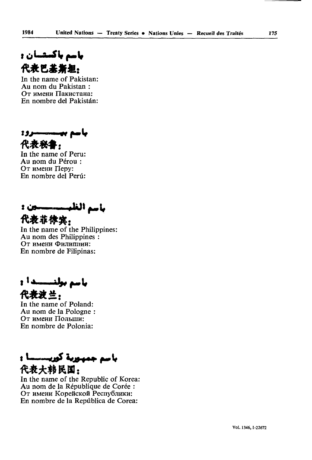باسم باکستسان و 代表巴基斯坦:

In the name of Pakistan: Au nom du Pakistan : От имени Пакистана: En nombre del Pakistan:

باسم بيسسسرو: 代表秘鲁:

In the name of Peru: Au nom du Pérou : От имени Перу: En nombre del Peru:

باسم الفلبسسس هن :

代表菲律宾: In the name of the Philippines: Au nom des Philippines : От имени Филиппин: En nombre de Filipinas:

باسم بولنس 表波兰:

In the name of Poland: Au nom de la Pologne : От имени Польши: En nombre de Polonia:

باسم جمهورية كوريسسسا : 代表大韩民国:

In the name of the Republic of Korea: Au nom de la République de Corée : От имени Корейской Республики: En nombre de la Repûblica de Corea: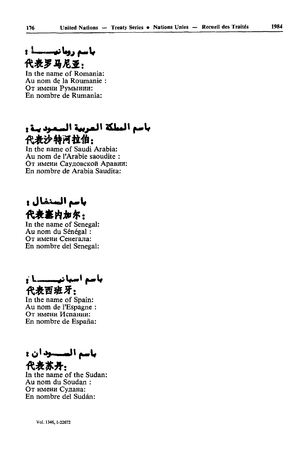باسم رومانيسسسا : 代表罗马尼亚:

In the name of Romania: Au nom de la Roumanie От имени Румынии: En nombre de Rumania:

## **باسم المطكة العربية السموديية و** 代表沙特河拉伯:

In the name of Saudi Arabia: Au nom de l'Arabie saoudite : От имени Саудовской Аравии: En nombre de Arabia Saudita:

# باسم السنضال و 代表塞内加尔:

In the name of Senegal: Au nom du Sénégal : От имени Сенегала: En nombre del Senegal:

**باسم اسبانیسیسیا و** 代表西班牙:

In the name of Spain: Au nom de l'Espagne : От имени Испании: En nombre de Espana:

باسم السيسيوان : 代表苏丹:

In the name of the Sudan: Au nom du Soudan : От имени Судана: En nombre del Sudan:

Vol. 1346,1-22672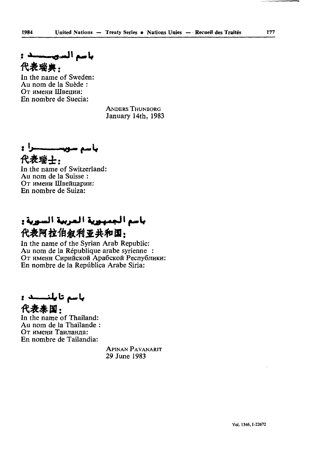باسم السهسسند و 代表瑞典。

In the name of Sweden: Au nom de la Suède : От имени Швеции: En nombre de Suecia:

> ANDERS THUNBORG January 14th, 1983

**,i: مسويســـــــــــرا**<br>代表瑞十:

In the name of Switzerland: Au nom de la Suisse : От имени Швейцарии: En nombre de Suiza:

# باسم الجمهورية المربية السورية: 代表阿拉伯叙利亚共和国:

In the name of the Syrian Arab Republic: Au nom de la République arabe syrienne : От имени Сирийской Арабской Республики: En nombre de la Repûblica Arabe Siria:

باسم تايلنــــ き来国 :

In the name of Thailand: Au nom de la Thaïlande : От имени Таиланда: En nombre de Tailandia:

> APINAN PAVANARIT 29 June 1983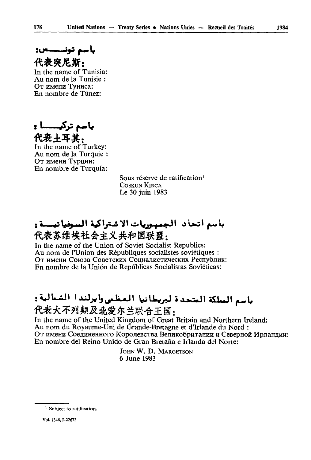In the name of Tunisia: Au nom de la Tunisie : От имени Туниса: En nombre de Tûnez:

باسم تركيســا : 代表+耳其.

In the name of Turkey: Au nom de la Turquie : От имени Турции: En nombre de Turquia:

> Sous réserve de ratification<sup>1</sup> COSKUN KIRCA Le 30 juin 1983

# بأسم أتحاد الجمهوريات الاشتراكية السوفياتيسة: 代表苏维埃社会主义共和国联盟:

In the name of the Union of Soviet Socialist Republics: Au nom de l'Union des Républiques socialistes soviétiques : От имени Союза Советских Социалистических Республик: En nombre de la Union de Repûblicas Socialistas Soviéticas:

# باسم المطكة المتحدة لبريطانيا العظمى وايرلندا الشمالية:

代表大不列颠及北爱尔兰联合王国:

In the name of the United Kingdom of Great Britain and Northern Ireland Au nom du Royaume-Uni de Grande-Bretagne et d'Irlande du Nord : От имени Соединенного Королевства Великобритании и Северной Ирландии: En nombre del Reino Unido de Gran Bretana e Irlanda del Norte:

> JOHN W. D. MARGETSON 6 June 1983

Vol. 1346,1-22672

<sup>1</sup> Subject to ratification.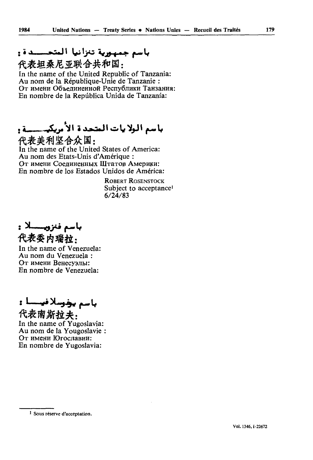### باسم جمهورية تنزانيا المتحسسدة: 代表坦桑尼亚联合共和国:

In the name of the United Republic of Tanzania: Au nom de la République-Unie de Tanzanie : От имени Объединенной Республики Танзания: En nombre de la Repûblica Unida de Tanzania:

## باسم الولايات المتحدة الأمريكيــــة 代表美利坚合众国:

In the name of the United States of America: Au nom des Etats-Unis d'Amérique : От имени Соединенных Штатов Америки: En nombre de los Estados Unidos de America:

> ROBERT ROSENSTOCK Subject to acceptance<sup>1</sup> 6/24/83

باسم فنزويــــــلا : 代表委内瑞拉:

In the name of Venezuela: Au nom du Venezuela : От имени Венесуэлы: En nombre de Venezuela:

باسم يخوسلافيسسا : 代表南斯拉夫:

In the name of Yugoslavia: Au nom de la Yougoslavie От имени Югославии: En nombre de Yugoslavia:

<sup>1</sup> Sous réserve d'acceptation.